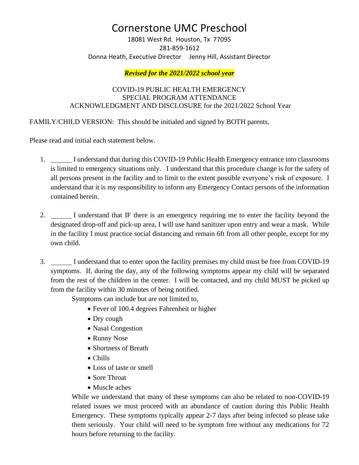## Cornerstone UMC Preschool

18081 West Rd. Houston, Tx 77095 281-859-1612 Donna Heath, Executive Director Jenny Hill, Assistant Director

## *Revised for the 2021/2022 school year*

## COVID-19 PUBLIC HEALTH EMERGENCY SPECIAL PROGRAM ATTENDANCE ACKNOWLEDGMENT AND DISCLOSURE for the 2021/2022 School Year

FAMILY/CHILD VERSION: This should be initialed and signed by BOTH parents.

Please read and initial each statement below.

- 1. I understand that during this COVID-19 Public Health Emergency entrance into classrooms is limited to emergency situations only. I understand that this procedure change is for the safety of all persons present in the facility and to limit to the extent possible everyone's risk of exposure. I understand that it is my responsibility to inform any Emergency Contact persons of the information contained herein.
- 2. I understand that IF there is an emergency requiring me to enter the facility beyond the designated drop-off and pick-up area, I will use hand sanitizer upon entry and wear a mask. While in the facility I must practice social distancing and remain 6ft from all other people, except for my own child.
- 3. I understand that to enter upon the facility premises my child must be free from COVID-19 symptoms. If, during the day, any of the following symptoms appear my child will be separated from the rest of the children in the center. I will be contacted, and my child MUST be picked up from the facility within 30 minutes of being notified.

Symptoms can include but are not limited to,

- Fever of 100.4 degrees Fahrenheit or higher
- Dry cough
- Nasal Congestion
- Runny Nose
- Shortness of Breath
- Chills
- Loss of taste or smell
- Sore Throat
- Muscle aches

While we understand that many of these symptoms can also be related to non-COVID-19 related issues we must proceed with an abundance of caution during this Public Health Emergency. These symptoms typically appear 2-7 days after being infected so please take them seriously. Your child will need to be symptom free without any medications for 72 hours before returning to the facility.